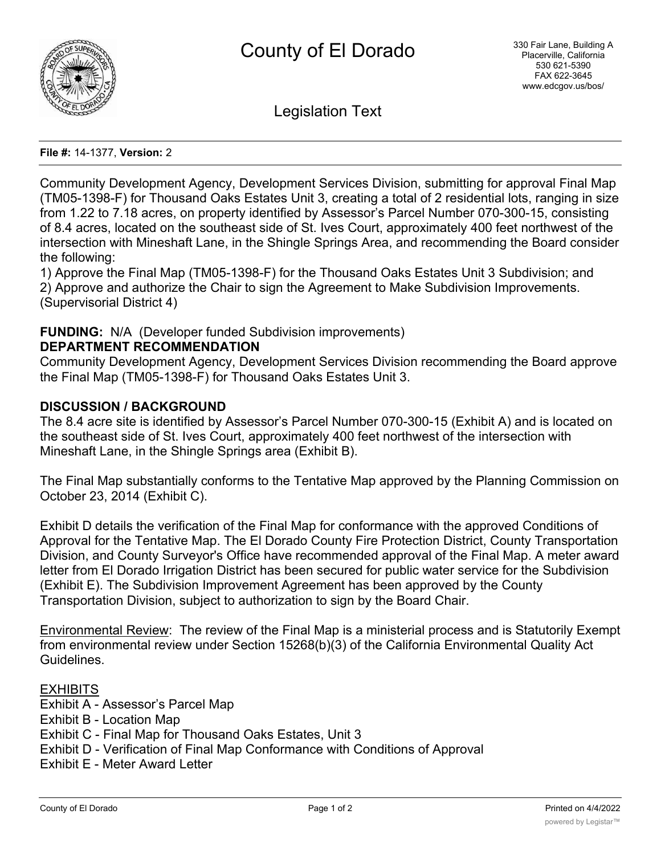

Legislation Text

#### **File #:** 14-1377, **Version:** 2

Community Development Agency, Development Services Division, submitting for approval Final Map (TM05-1398-F) for Thousand Oaks Estates Unit 3, creating a total of 2 residential lots, ranging in size from 1.22 to 7.18 acres, on property identified by Assessor's Parcel Number 070-300-15, consisting of 8.4 acres, located on the southeast side of St. Ives Court, approximately 400 feet northwest of the intersection with Mineshaft Lane, in the Shingle Springs Area, and recommending the Board consider the following:

1) Approve the Final Map (TM05-1398-F) for the Thousand Oaks Estates Unit 3 Subdivision; and 2) Approve and authorize the Chair to sign the Agreement to Make Subdivision Improvements. (Supervisorial District 4)

# **FUNDING:** N/A (Developer funded Subdivision improvements)

# **DEPARTMENT RECOMMENDATION**

Community Development Agency, Development Services Division recommending the Board approve the Final Map (TM05-1398-F) for Thousand Oaks Estates Unit 3.

# **DISCUSSION / BACKGROUND**

The 8.4 acre site is identified by Assessor's Parcel Number 070-300-15 (Exhibit A) and is located on the southeast side of St. Ives Court, approximately 400 feet northwest of the intersection with Mineshaft Lane, in the Shingle Springs area (Exhibit B).

The Final Map substantially conforms to the Tentative Map approved by the Planning Commission on October 23, 2014 (Exhibit C).

Exhibit D details the verification of the Final Map for conformance with the approved Conditions of Approval for the Tentative Map. The El Dorado County Fire Protection District, County Transportation Division, and County Surveyor's Office have recommended approval of the Final Map. A meter award letter from El Dorado Irrigation District has been secured for public water service for the Subdivision (Exhibit E). The Subdivision Improvement Agreement has been approved by the County Transportation Division, subject to authorization to sign by the Board Chair.

Environmental Review: The review of the Final Map is a ministerial process and is Statutorily Exempt from environmental review under Section 15268(b)(3) of the California Environmental Quality Act Guidelines.

# **EXHIBITS**

Exhibit A - Assessor's Parcel Map Exhibit B - Location Map Exhibit C - Final Map for Thousand Oaks Estates, Unit 3 Exhibit D - Verification of Final Map Conformance with Conditions of Approval Exhibit E - Meter Award Letter